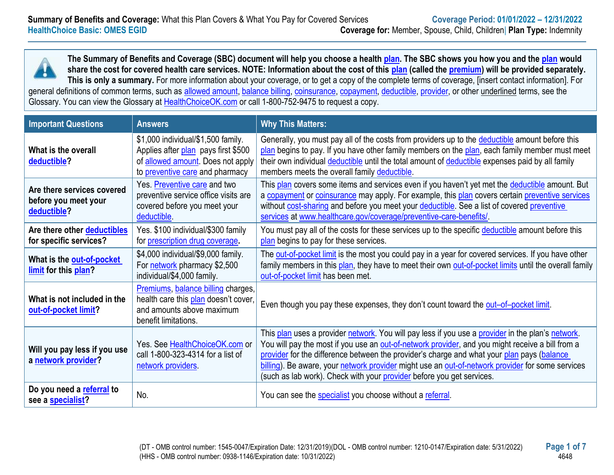

**The Summary of Benefits and Coverage (SBC) document will help you choose a health [plan.](https://www.healthcare.gov/sbc-glossary/#plan) The SBC shows you how you and the [plan](https://www.healthcare.gov/sbc-glossary/#plan) would share the cost for covered health care services. NOTE: Information about the cost of this [plan](https://www.healthcare.gov/sbc-glossary/#plan) (called the [premium\)](https://www.healthcare.gov/sbc-glossary/#premium) will be provided separately. This is only a summary.** For more information about your coverage, or to get a copy of the complete terms of coverage, [insert contact information]. For general definitions of common terms, such as [allowed amount,](https://www.healthcare.gov/sbc-glossary/#allowed-amount) [balance billing,](https://www.healthcare.gov/sbc-glossary/#balance-billing) [coinsurance,](https://www.healthcare.gov/sbc-glossary/#coinsurance) [copayment,](https://www.healthcare.gov/sbc-glossary/#copayment) [deductible,](https://www.healthcare.gov/sbc-glossary/#deductible) [provider,](https://www.healthcare.gov/sbc-glossary/#provider) or other underlined terms, see the

Glossary. You can view the Glossary at [HealthChoiceOK.com](https://oklahoma.gov/content/dam/ok/en/omes/documents/uniform-glossary-final.pdf) or call 1-800-752-9475 to request a copy.

| <b>Important Questions</b>                                        | <b>Answers</b>                                                                                                                                    | <b>Why This Matters:</b>                                                                                                                                                                                                                                                                                                                                                                                                                                                         |
|-------------------------------------------------------------------|---------------------------------------------------------------------------------------------------------------------------------------------------|----------------------------------------------------------------------------------------------------------------------------------------------------------------------------------------------------------------------------------------------------------------------------------------------------------------------------------------------------------------------------------------------------------------------------------------------------------------------------------|
| What is the overall<br>deductible?                                | \$1,000 individual/\$1,500 family.<br>Applies after plan pays first \$500<br>of allowed amount. Does not apply<br>to preventive care and pharmacy | Generally, you must pay all of the costs from providers up to the deductible amount before this<br>plan begins to pay. If you have other family members on the plan, each family member must meet<br>their own individual deductible until the total amount of deductible expenses paid by all family<br>members meets the overall family deductible.                                                                                                                            |
| Are there services covered<br>before you meet your<br>deductible? | Yes. Preventive care and two<br>preventive service office visits are<br>covered before you meet your<br>deductible.                               | This plan covers some items and services even if you haven't yet met the deductible amount. But<br>a copayment or coinsurance may apply. For example, this plan covers certain preventive services<br>without cost-sharing and before you meet your deductible. See a list of covered preventive<br>services at www.healthcare.gov/coverage/preventive-care-benefits/.                                                                                                           |
| Are there other deductibles<br>for specific services?             | Yes. \$100 individual/\$300 family<br>for prescription drug coverage.                                                                             | You must pay all of the costs for these services up to the specific deductible amount before this<br>plan begins to pay for these services.                                                                                                                                                                                                                                                                                                                                      |
| What is the out-of-pocket<br>limit for this plan?                 | \$4,000 individual/\$9,000 family.<br>For network pharmacy \$2,500<br>individual/\$4,000 family.                                                  | The out-of-pocket limit is the most you could pay in a year for covered services. If you have other<br>family members in this plan, they have to meet their own out-of-pocket limits until the overall family<br>out-of-pocket limit has been met.                                                                                                                                                                                                                               |
| What is not included in the<br>out-of-pocket limit?               | Premiums, balance billing charges,<br>health care this plan doesn't cover,<br>and amounts above maximum<br>benefit limitations.                   | Even though you pay these expenses, they don't count toward the out-of-pocket limit.                                                                                                                                                                                                                                                                                                                                                                                             |
| Will you pay less if you use<br>a network provider?               | Yes. See HealthChoiceOK.com or<br>call 1-800-323-4314 for a list of<br>network providers.                                                         | This plan uses a provider network. You will pay less if you use a provider in the plan's network.<br>You will pay the most if you use an out-of-network provider, and you might receive a bill from a<br>provider for the difference between the provider's charge and what your plan pays (balance<br>billing). Be aware, your network provider might use an out-of-network provider for some services<br>(such as lab work). Check with your provider before you get services. |
| Do you need a referral to<br>see a specialist?                    | No.                                                                                                                                               | You can see the specialist you choose without a referral.                                                                                                                                                                                                                                                                                                                                                                                                                        |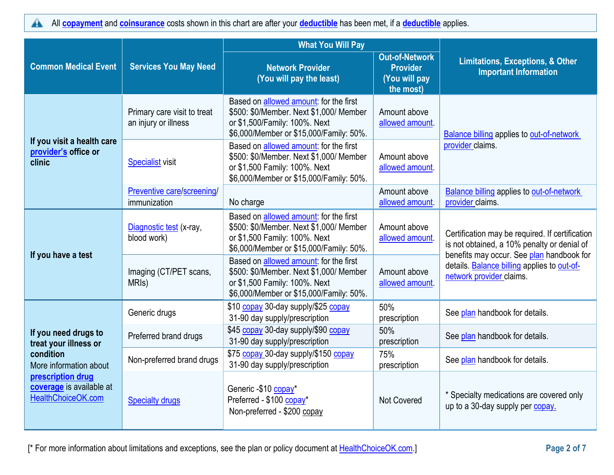All **[copayment](https://www.healthcare.gov/sbc-glossary/#copayment)** and **[coinsurance](https://www.healthcare.gov/sbc-glossary/#coinsurance)** costs shown in this chart are after your **[deductible](https://www.healthcare.gov/sbc-glossary/#deductible)** has been met, if a **[deductible](https://www.healthcare.gov/sbc-glossary/#deductible)** applies.  $\blacktriangle$ 

|                                                                     |                                                     | <b>What You Will Pay</b>                                                                                                                                      |                                                                        |                                                                                                                      |  |
|---------------------------------------------------------------------|-----------------------------------------------------|---------------------------------------------------------------------------------------------------------------------------------------------------------------|------------------------------------------------------------------------|----------------------------------------------------------------------------------------------------------------------|--|
| <b>Common Medical Event</b>                                         | <b>Services You May Need</b>                        | <b>Network Provider</b><br>(You will pay the least)                                                                                                           | <b>Out-of-Network</b><br><b>Provider</b><br>(You will pay<br>the most) | <b>Limitations, Exceptions, &amp; Other</b><br><b>Important Information</b>                                          |  |
|                                                                     | Primary care visit to treat<br>an injury or illness | Based on allowed amount: for the first<br>\$500: \$0/Member. Next \$1,000/ Member<br>or \$1,500/Family: 100%. Next<br>\$6,000/Member or \$15,000/Family: 50%. | Amount above<br>allowed amount                                         | <b>Balance billing applies to out-of-network</b>                                                                     |  |
| If you visit a health care<br>provider's office or<br>clinic        | <b>Specialist visit</b>                             | Based on allowed amount: for the first<br>\$500: \$0/Member. Next \$1,000/ Member<br>or \$1,500 Family: 100%. Next<br>\$6,000/Member or \$15,000/Family: 50%. | Amount above<br>allowed amount.                                        | provider claims.                                                                                                     |  |
|                                                                     | Preventive care/screening/<br>immunization          | No charge                                                                                                                                                     | Amount above<br>allowed amount.                                        | <b>Balance billing applies to out-of-network</b><br>provider claims.                                                 |  |
|                                                                     | Diagnostic test (x-ray,<br>blood work)              | Based on allowed amount: for the first<br>\$500: \$0/Member. Next \$1,000/ Member<br>or \$1,500 Family: 100%. Next<br>\$6,000/Member or \$15,000/Family: 50%. | Amount above<br>allowed amount.                                        | Certification may be required. If certification<br>is not obtained, a 10% penalty or denial of                       |  |
| If you have a test                                                  | Imaging (CT/PET scans,<br>MRI <sub>s</sub> )        | Based on allowed amount: for the first<br>\$500: \$0/Member. Next \$1,000/ Member<br>or \$1,500 Family: 100%. Next<br>\$6,000/Member or \$15,000/Family: 50%. | Amount above<br>allowed amount.                                        | benefits may occur. See plan handbook for<br>details. Balance billing applies to out-of-<br>network provider claims. |  |
|                                                                     | Generic drugs                                       | \$10 copay 30-day supply/\$25 copay<br>31-90 day supply/prescription                                                                                          | 50%<br>prescription                                                    | See plan handbook for details.                                                                                       |  |
| If you need drugs to<br>treat your illness or                       | Preferred brand drugs                               | \$45 copay 30-day supply/\$90 copay<br>31-90 day supply/prescription                                                                                          | 50%<br>prescription                                                    | See plan handbook for details.                                                                                       |  |
| condition<br>More information about                                 | Non-preferred brand drugs                           | \$75 copay 30-day supply/\$150 copay<br>31-90 day supply/prescription                                                                                         | 75%<br>prescription                                                    | See plan handbook for details.                                                                                       |  |
| prescription drug<br>coverage is available at<br>HealthChoiceOK.com | <b>Specialty drugs</b>                              | Generic -\$10 copay*<br>Preferred - \$100 copay*<br>Non-preferred - \$200 copay                                                                               | <b>Not Covered</b>                                                     | * Specialty medications are covered only<br>up to a 30-day supply per copay.                                         |  |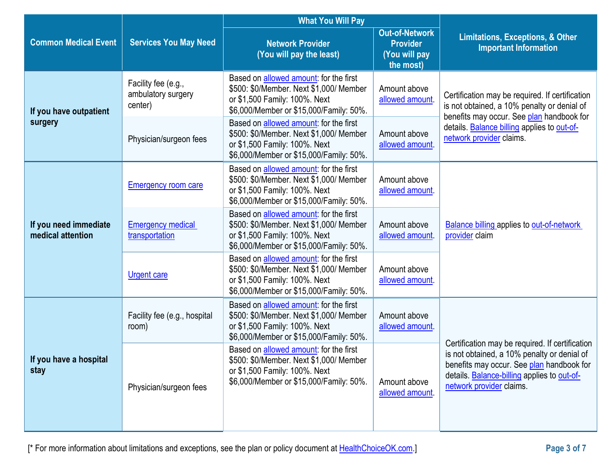|                                            |                                                      | <b>What You Will Pay</b>                                                                                                                                              |                                                                        |                                                                                                                                                                                                                               |  |
|--------------------------------------------|------------------------------------------------------|-----------------------------------------------------------------------------------------------------------------------------------------------------------------------|------------------------------------------------------------------------|-------------------------------------------------------------------------------------------------------------------------------------------------------------------------------------------------------------------------------|--|
| <b>Common Medical Event</b>                | <b>Services You May Need</b>                         | <b>Network Provider</b><br>(You will pay the least)                                                                                                                   | <b>Out-of-Network</b><br><b>Provider</b><br>(You will pay<br>the most) | <b>Limitations, Exceptions, &amp; Other</b><br><b>Important Information</b>                                                                                                                                                   |  |
| If you have outpatient                     | Facility fee (e.g.,<br>ambulatory surgery<br>center) | Based on <b>allowed</b> amount: for the first<br>\$500: \$0/Member. Next \$1,000/ Member<br>or \$1,500 Family: 100%. Next<br>\$6,000/Member or \$15,000/Family: 50%.  | Amount above<br>allowed amount                                         | Certification may be required. If certification<br>is not obtained, a 10% penalty or denial of<br>benefits may occur. See plan handbook for<br>details. Balance billing applies to out-of-<br>network provider claims.        |  |
| surgery                                    | Physician/surgeon fees                               | Based on <b>allowed amount</b> : for the first<br>\$500: \$0/Member. Next \$1,000/ Member<br>or \$1,500 Family: 100%. Next<br>\$6,000/Member or \$15,000/Family: 50%. | Amount above<br>allowed amount                                         |                                                                                                                                                                                                                               |  |
|                                            | <b>Emergency room care</b>                           | Based on allowed amount: for the first<br>\$500: \$0/Member. Next \$1,000/ Member<br>or \$1,500 Family: 100%. Next<br>\$6,000/Member or \$15,000/Family: 50%.         | Amount above<br>allowed amount                                         |                                                                                                                                                                                                                               |  |
| If you need immediate<br>medical attention | <b>Emergency medical</b><br>transportation           | Based on allowed amount: for the first<br>\$500: \$0/Member. Next \$1,000/ Member<br>or \$1,500 Family: 100%. Next<br>\$6,000/Member or \$15,000/Family: 50%.         | Amount above<br>allowed amount.                                        | <b>Balance billing applies to out-of-network</b><br>provider claim                                                                                                                                                            |  |
|                                            | <b>Urgent care</b>                                   | Based on allowed amount: for the first<br>\$500: \$0/Member. Next \$1,000/ Member<br>or \$1,500 Family: 100%. Next<br>\$6,000/Member or \$15,000/Family: 50%.         | Amount above<br>allowed amount.                                        |                                                                                                                                                                                                                               |  |
|                                            | Facility fee (e.g., hospital<br>room)                | Based on <b>allowed</b> amount: for the first<br>\$500: \$0/Member. Next \$1,000/ Member<br>or \$1,500 Family: 100%. Next<br>\$6,000/Member or \$15,000/Family: 50%.  | Amount above<br>allowed amount.                                        |                                                                                                                                                                                                                               |  |
| If you have a hospital<br>stay             | Physician/surgeon fees                               | Based on <b>allowed amount</b> : for the first<br>\$500: \$0/Member. Next \$1,000/ Member<br>or \$1,500 Family: 100%. Next<br>\$6,000/Member or \$15,000/Family: 50%. | Amount above<br>allowed amount                                         | Certification may be required. If certification<br>is not obtained, a 10% penalty or denial of<br>benefits may occur. See plan handbook for<br>details. <b>Balance-billing</b> applies to out-of-<br>network provider claims. |  |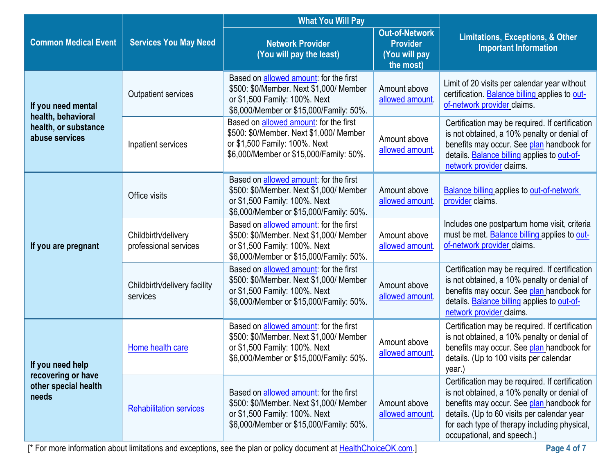|                                          |                                              | <b>What You Will Pay</b>                                                                                                                                              |                                                                        |                                                                                                                                                                                                                                                                          |
|------------------------------------------|----------------------------------------------|-----------------------------------------------------------------------------------------------------------------------------------------------------------------------|------------------------------------------------------------------------|--------------------------------------------------------------------------------------------------------------------------------------------------------------------------------------------------------------------------------------------------------------------------|
| <b>Common Medical Event</b>              | <b>Services You May Need</b>                 | <b>Network Provider</b><br>(You will pay the least)                                                                                                                   | <b>Out-of-Network</b><br><b>Provider</b><br>(You will pay<br>the most) | <b>Limitations, Exceptions, &amp; Other</b><br><b>Important Information</b>                                                                                                                                                                                              |
| If you need mental<br>health, behavioral | <b>Outpatient services</b>                   | Based on allowed amount: for the first<br>\$500: \$0/Member. Next \$1,000/ Member<br>or \$1,500 Family: 100%. Next<br>\$6,000/Member or \$15,000/Family: 50%.         | Amount above<br>allowed amount                                         | Limit of 20 visits per calendar year without<br>certification. Balance billing applies to out-<br>of-network provider claims.                                                                                                                                            |
| health, or substance<br>abuse services   | Inpatient services                           | Based on allowed amount: for the first<br>\$500: \$0/Member. Next \$1,000/ Member<br>or \$1,500 Family: 100%. Next<br>\$6,000/Member or \$15,000/Family: 50%.         | Amount above<br>allowed amount.                                        | Certification may be required. If certification<br>is not obtained, a 10% penalty or denial of<br>benefits may occur. See plan handbook for<br>details. Balance billing applies to out-of-<br>network provider claims.                                                   |
|                                          | Office visits                                | Based on allowed amount: for the first<br>\$500: \$0/Member. Next \$1,000/ Member<br>or \$1,500 Family: 100%. Next<br>\$6,000/Member or \$15,000/Family: 50%.         | Amount above<br>allowed amount.                                        | <b>Balance billing applies to out-of-network</b><br>provider claims.                                                                                                                                                                                                     |
| If you are pregnant                      | Childbirth/delivery<br>professional services | Based on <b>allowed amount</b> : for the first<br>\$500: \$0/Member. Next \$1,000/ Member<br>or \$1,500 Family: 100%. Next<br>\$6,000/Member or \$15,000/Family: 50%. | Amount above<br>allowed amount.                                        | Includes one postpartum home visit, criteria<br>must be met. Balance billing applies to out-<br>of-network provider claims.                                                                                                                                              |
|                                          | Childbirth/delivery facility<br>services     | Based on allowed amount: for the first<br>\$500: \$0/Member. Next \$1,000/ Member<br>or \$1,500 Family: 100%. Next<br>\$6,000/Member or \$15,000/Family: 50%.         | Amount above<br>allowed amount                                         | Certification may be required. If certification<br>is not obtained, a 10% penalty or denial of<br>benefits may occur. See plan handbook for<br>details. Balance billing applies to out-of-<br>network provider claims.                                                   |
| If you need help<br>recovering or have   | Home health care                             | Based on <b>allowed amount</b> : for the first<br>\$500: \$0/Member. Next \$1,000/ Member<br>or \$1,500 Family: 100%. Next<br>\$6,000/Member or \$15,000/Family: 50%. | Amount above<br>allowed amount.                                        | Certification may be required. If certification<br>is not obtained, a 10% penalty or denial of<br>benefits may occur. See plan handbook for<br>details. (Up to 100 visits per calendar<br>year.)                                                                         |
| other special health<br>needs            | <b>Rehabilitation services</b>               | Based on allowed amount: for the first<br>\$500: \$0/Member. Next \$1,000/ Member<br>or \$1,500 Family: 100%. Next<br>\$6,000/Member or \$15,000/Family: 50%.         | Amount above<br>allowed amount.                                        | Certification may be required. If certification<br>is not obtained, a 10% penalty or denial of<br>benefits may occur. See plan handbook for<br>details. (Up to 60 visits per calendar year<br>for each type of therapy including physical,<br>occupational, and speech.) |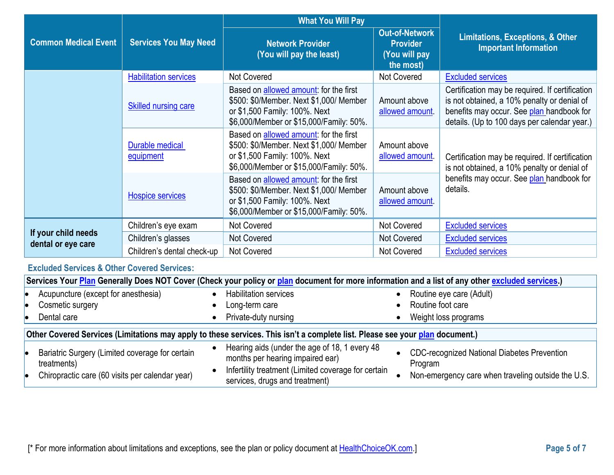|                                           | <b>Services You May Need</b> | <b>What You Will Pay</b>                                                                                                                                      |                                                                        |                                                                                                                                                                                             |
|-------------------------------------------|------------------------------|---------------------------------------------------------------------------------------------------------------------------------------------------------------|------------------------------------------------------------------------|---------------------------------------------------------------------------------------------------------------------------------------------------------------------------------------------|
| <b>Common Medical Event</b>               |                              | <b>Network Provider</b><br>(You will pay the least)                                                                                                           | <b>Out-of-Network</b><br><b>Provider</b><br>(You will pay<br>the most) | <b>Limitations, Exceptions, &amp; Other</b><br><b>Important Information</b>                                                                                                                 |
|                                           | <b>Habilitation services</b> | Not Covered                                                                                                                                                   | Not Covered                                                            | <b>Excluded services</b>                                                                                                                                                                    |
|                                           | Skilled nursing care         | Based on allowed amount: for the first<br>\$500: \$0/Member. Next \$1,000/ Member<br>or \$1,500 Family: 100%. Next<br>\$6,000/Member or \$15,000/Family: 50%. | Amount above<br>allowed amount.                                        | Certification may be required. If certification<br>is not obtained, a 10% penalty or denial of<br>benefits may occur. See plan handbook for<br>details. (Up to 100 days per calendar year.) |
|                                           | Durable medical<br>equipment | Based on allowed amount: for the first<br>\$500: \$0/Member. Next \$1,000/ Member<br>or \$1,500 Family: 100%. Next<br>\$6,000/Member or \$15,000/Family: 50%. | Amount above<br>allowed amount                                         | Certification may be required. If certification<br>is not obtained, a 10% penalty or denial of                                                                                              |
|                                           | <b>Hospice services</b>      | Based on allowed amount: for the first<br>\$500: \$0/Member. Next \$1,000/ Member<br>or \$1,500 Family: 100%. Next<br>\$6,000/Member or \$15,000/Family: 50%. | Amount above<br>allowed amount.                                        | benefits may occur. See plan handbook for<br>details.                                                                                                                                       |
|                                           | Children's eye exam          | <b>Not Covered</b>                                                                                                                                            | <b>Not Covered</b>                                                     | <b>Excluded services</b>                                                                                                                                                                    |
| If your child needs<br>dental or eye care | Children's glasses           | <b>Not Covered</b>                                                                                                                                            | <b>Not Covered</b>                                                     | <b>Excluded services</b>                                                                                                                                                                    |
|                                           | Children's dental check-up   | <b>Not Covered</b>                                                                                                                                            | <b>Not Covered</b>                                                     | <b>Excluded services</b>                                                                                                                                                                    |

# **Excluded Services & Other Covered Services:**

|                                                                                                                              | Services Your Plan Generally Does NOT Cover (Check your policy or plan document for more information and a list of any other excluded services.) |  |                                                                                                                                                                            |  |                                                                                                                     |
|------------------------------------------------------------------------------------------------------------------------------|--------------------------------------------------------------------------------------------------------------------------------------------------|--|----------------------------------------------------------------------------------------------------------------------------------------------------------------------------|--|---------------------------------------------------------------------------------------------------------------------|
|                                                                                                                              | Acupuncture (except for anesthesia)<br>Cosmetic surgery<br>Dental care                                                                           |  | <b>Habilitation services</b><br>Long-term care<br>Private-duty nursing                                                                                                     |  | Routine eye care (Adult)<br>Routine foot care<br>Weight loss programs                                               |
| Other Covered Services (Limitations may apply to these services. This isn't a complete list. Please see your plan document.) |                                                                                                                                                  |  |                                                                                                                                                                            |  |                                                                                                                     |
|                                                                                                                              | Bariatric Surgery (Limited coverage for certain<br>treatments)<br>Chiropractic care (60 visits per calendar year)                                |  | Hearing aids (under the age of 18, 1 every 48<br>months per hearing impaired ear)<br>Infertility treatment (Limited coverage for certain<br>services, drugs and treatment) |  | <b>CDC-recognized National Diabetes Prevention</b><br>Program<br>Non-emergency care when traveling outside the U.S. |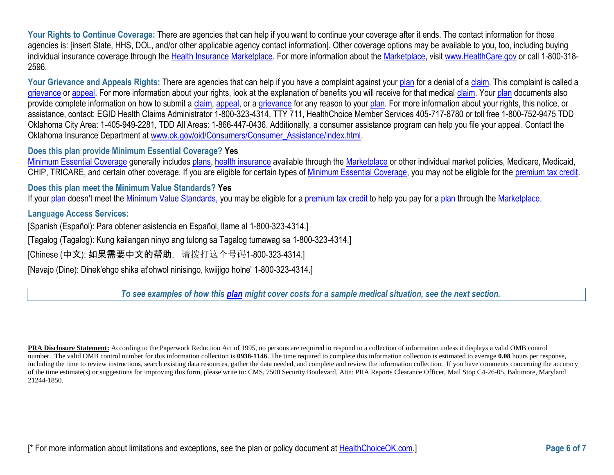Your Rights to Continue Coverage: There are agencies that can help if you want to continue your coverage after it ends. The contact information for those agencies is: [insert State, HHS, DOL, and/or other applicable agency contact information]. Other coverage options may be available to you, too, including buying individual insurance coverage through the [Health Insurance](https://www.healthcare.gov/sbc-glossary/#health-insurance) [Marketplace.](https://www.healthcare.gov/sbc-glossary/#marketplace) For more information about the [Marketplace,](https://www.healthcare.gov/sbc-glossary/#marketplace) visi[t www.HealthCare.gov](http://www.healthcare.gov/) or call 1-800-318-2596.

Your Grievance and Appeals Rights: There are agencies that can help if you have a complaint against your [plan](https://www.healthcare.gov/sbc-glossary/#plan) for a denial of [a claim.](https://www.healthcare.gov/sbc-glossary/#claim) This complaint is called a [grievance](https://www.healthcare.gov/sbc-glossary/#grievance) or [appeal.](https://www.healthcare.gov/sbc-glossary/#appeal) For more information about your rights, look at the explanation of benefits you will receive for that medical [claim.](https://www.healthcare.gov/sbc-glossary/#claim) You[r plan](https://www.healthcare.gov/sbc-glossary/#plan) documents also provide complete information on how to submit a [claim,](https://www.healthcare.gov/sbc-glossary/#claim) [appeal,](https://www.healthcare.gov/sbc-glossary/#appeal) or a [grievance](https://www.healthcare.gov/sbc-glossary/#grievance) for any reason to your [plan.](https://www.healthcare.gov/sbc-glossary/#plan) For more information about your rights, this notice, or assistance, contact: EGID Health Claims Administrator 1-800-323-4314, TTY 711, HealthChoice Member Services 405-717-8780 or toll free 1-800-752-9475 TDD Oklahoma City Area: 1-405-949-2281, TDD All Areas: 1-866-447-0436. Additionally, a consumer assistance program can help you file your appeal. Contact the Oklahoma Insurance Department at [www.ok.gov/oid/Consumers/Consumer\\_Assistance/index.html.](http://www.ok.gov/oid/Consumers/Consumer_Assistance/index.html)

#### **Does this plan provide Minimum Essential Coverage? Yes**

[Minimum Essential Coverage](https://www.healthcare.gov/sbc-glossary/#minimum-essential-coverage) generally includes [plans,](https://www.healthcare.gov/sbc-glossary/#plan) [health insurance](https://www.healthcare.gov/sbc-glossary/#health-insurance) available through the [Marketplace](https://www.healthcare.gov/sbc-glossary/#marketplace) or other individual market policies, Medicare, Medicaid, CHIP, TRICARE, and certain other coverage. If you are eligible for certain types of [Minimum Essential Coverage,](https://www.healthcare.gov/sbc-glossary/#minimum-essential-coverage) you may not be eligible for the [premium tax credit.](https://www.healthcare.gov/sbc-glossary/#premium-tax-credits)

#### **Does this plan meet the Minimum Value Standards? Yes**

If your [plan](https://www.healthcare.gov/sbc-glossary/#plan) doesn't meet the [Minimum Value Standards,](https://www.healthcare.gov/sbc-glossary/#minimum-value-standard) you may be eligible for a [premium tax credit](https://www.healthcare.gov/sbc-glossary/#premium-tax-credits) to help you pay for a plan through the [Marketplace.](https://www.healthcare.gov/sbc-glossary/#marketplace)

#### **Language Access Services:**

[Spanish (Español): Para obtener asistencia en Español, llame al 1-800-323-4314.]

[Tagalog (Tagalog): Kung kailangan ninyo ang tulong sa Tagalog tumawag sa 1-800-323-4314.]

[Chinese (中文): 如果需要中文的帮助, 请拨打这个号码1-800-323-4314.]

[Navajo (Dine): Dinek'ehgo shika at'ohwol ninisingo, kwiijigo holne' 1-800-323-4314.]

*To see examples of how this [plan](https://www.healthcare.gov/sbc-glossary/#plan) might cover costs for a sample medical situation, see the next section.*

**PRA Disclosure Statement:** According to the Paperwork Reduction Act of 1995, no persons are required to respond to a collection of information unless it displays a valid OMB control number. The valid OMB control number for this information collection is **0938-1146**. The time required to complete this information collection is estimated to average **0.08** hours per response, including the time to review instructions, search existing data resources, gather the data needed, and complete and review the information collection. If you have comments concerning the accuracy of the time estimate(s) or suggestions for improving this form, please write to: CMS, 7500 Security Boulevard, Attn: PRA Reports Clearance Officer, Mail Stop C4-26-05, Baltimore, Maryland 21244-1850.